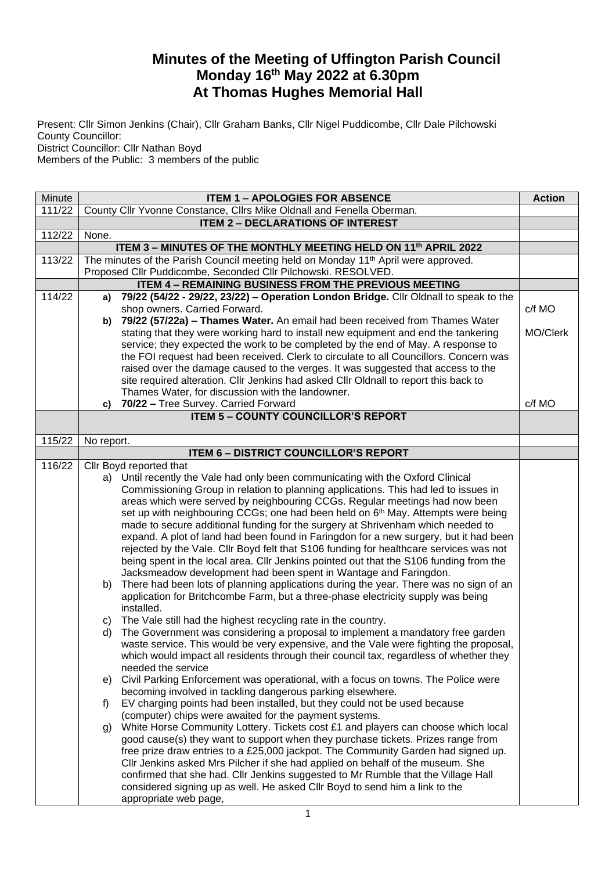## **Minutes of the Meeting of Uffington Parish Council Monday 16th May 2022 at 6.30pm At Thomas Hughes Memorial Hall**

Present: Cllr Simon Jenkins (Chair), Cllr Graham Banks, Cllr Nigel Puddicombe, Cllr Dale Pilchowski County Councillor: District Councillor: Cllr Nathan Boyd

Members of the Public: 3 members of the public

| Minute | <b>ITEM 1 - APOLOGIES FOR ABSENCE</b>                                 |                                                                                                                                                                                  | <b>Action</b> |
|--------|-----------------------------------------------------------------------|----------------------------------------------------------------------------------------------------------------------------------------------------------------------------------|---------------|
| 111/22 | County Cllr Yvonne Constance, Cllrs Mike Oldnall and Fenella Oberman. |                                                                                                                                                                                  |               |
|        | <b>ITEM 2 - DECLARATIONS OF INTEREST</b>                              |                                                                                                                                                                                  |               |
| 112/22 | None.                                                                 |                                                                                                                                                                                  |               |
|        | ITEM 3 - MINUTES OF THE MONTHLY MEETING HELD ON 11th APRIL 2022       |                                                                                                                                                                                  |               |
| 113/22 |                                                                       | The minutes of the Parish Council meeting held on Monday 11 <sup>th</sup> April were approved.                                                                                   |               |
|        |                                                                       | Proposed Cllr Puddicombe, Seconded Cllr Pilchowski. RESOLVED.                                                                                                                    |               |
|        |                                                                       | <b>ITEM 4 - REMAINING BUSINESS FROM THE PREVIOUS MEETING</b>                                                                                                                     |               |
| 114/22 | a)                                                                    | 79/22 (54/22 - 29/22, 23/22) - Operation London Bridge. Cllr Oldnall to speak to the                                                                                             |               |
|        |                                                                       | shop owners. Carried Forward.                                                                                                                                                    | c/f MO        |
|        | b)                                                                    | 79/22 (57/22a) - Thames Water. An email had been received from Thames Water                                                                                                      |               |
|        |                                                                       | stating that they were working hard to install new equipment and end the tankering                                                                                               | MO/Clerk      |
|        |                                                                       | service; they expected the work to be completed by the end of May. A response to                                                                                                 |               |
|        |                                                                       | the FOI request had been received. Clerk to circulate to all Councillors. Concern was                                                                                            |               |
|        |                                                                       | raised over the damage caused to the verges. It was suggested that access to the                                                                                                 |               |
|        |                                                                       | site required alteration. Cllr Jenkins had asked Cllr Oldnall to report this back to                                                                                             |               |
|        |                                                                       | Thames Water, for discussion with the landowner.                                                                                                                                 |               |
|        | c)                                                                    | 70/22 - Tree Survey. Carried Forward<br><b>ITEM 5 - COUNTY COUNCILLOR'S REPORT</b>                                                                                               | c/f MO        |
|        |                                                                       |                                                                                                                                                                                  |               |
| 115/22 | No report.                                                            |                                                                                                                                                                                  |               |
|        |                                                                       | <b>ITEM 6 - DISTRICT COUNCILLOR'S REPORT</b>                                                                                                                                     |               |
| 116/22 |                                                                       | Cllr Boyd reported that                                                                                                                                                          |               |
|        |                                                                       | a) Until recently the Vale had only been communicating with the Oxford Clinical                                                                                                  |               |
|        |                                                                       | Commissioning Group in relation to planning applications. This had led to issues in                                                                                              |               |
|        |                                                                       | areas which were served by neighbouring CCGs. Regular meetings had now been                                                                                                      |               |
|        |                                                                       | set up with neighbouring CCGs; one had been held on 6 <sup>th</sup> May. Attempts were being                                                                                     |               |
|        |                                                                       | made to secure additional funding for the surgery at Shrivenham which needed to                                                                                                  |               |
|        |                                                                       | expand. A plot of land had been found in Faringdon for a new surgery, but it had been                                                                                            |               |
|        |                                                                       | rejected by the Vale. Cllr Boyd felt that S106 funding for healthcare services was not<br>being spent in the local area. Cllr Jenkins pointed out that the S106 funding from the |               |
|        |                                                                       | Jacksmeadow development had been spent in Wantage and Faringdon.                                                                                                                 |               |
|        | b)                                                                    | There had been lots of planning applications during the year. There was no sign of an                                                                                            |               |
|        |                                                                       | application for Britchcombe Farm, but a three-phase electricity supply was being                                                                                                 |               |
|        |                                                                       | installed.                                                                                                                                                                       |               |
|        | C)                                                                    | The Vale still had the highest recycling rate in the country.                                                                                                                    |               |
|        | d)                                                                    | The Government was considering a proposal to implement a mandatory free garden                                                                                                   |               |
|        |                                                                       | waste service. This would be very expensive, and the Vale were fighting the proposal,                                                                                            |               |
|        |                                                                       | which would impact all residents through their council tax, regardless of whether they                                                                                           |               |
|        |                                                                       | needed the service                                                                                                                                                               |               |
|        | e)                                                                    | Civil Parking Enforcement was operational, with a focus on towns. The Police were                                                                                                |               |
|        |                                                                       | becoming involved in tackling dangerous parking elsewhere.                                                                                                                       |               |
|        | f)                                                                    | EV charging points had been installed, but they could not be used because                                                                                                        |               |
|        |                                                                       | (computer) chips were awaited for the payment systems.                                                                                                                           |               |
|        | g)                                                                    | White Horse Community Lottery. Tickets cost £1 and players can choose which local                                                                                                |               |
|        |                                                                       | good cause(s) they want to support when they purchase tickets. Prizes range from                                                                                                 |               |
|        |                                                                       | free prize draw entries to a £25,000 jackpot. The Community Garden had signed up.                                                                                                |               |
|        |                                                                       | CIIr Jenkins asked Mrs Pilcher if she had applied on behalf of the museum. She                                                                                                   |               |
|        |                                                                       | confirmed that she had. Cllr Jenkins suggested to Mr Rumble that the Village Hall                                                                                                |               |
|        |                                                                       | considered signing up as well. He asked Cllr Boyd to send him a link to the                                                                                                      |               |
|        |                                                                       | appropriate web page,                                                                                                                                                            |               |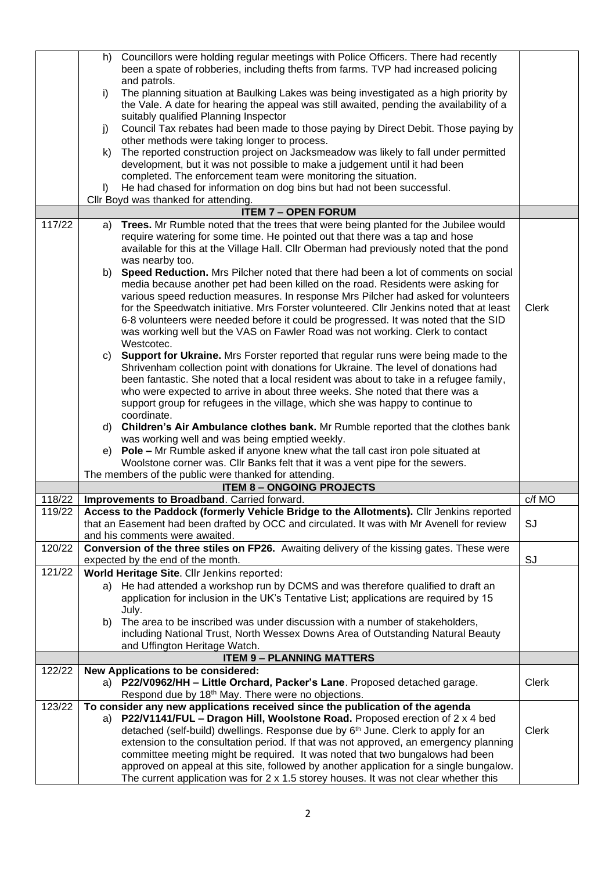|        |         | h) Councillors were holding regular meetings with Police Officers. There had recently<br>been a spate of robberies, including thefts from farms. TVP had increased policing            |              |
|--------|---------|----------------------------------------------------------------------------------------------------------------------------------------------------------------------------------------|--------------|
|        |         | and patrols.                                                                                                                                                                           |              |
|        | i)      | The planning situation at Baulking Lakes was being investigated as a high priority by                                                                                                  |              |
|        |         | the Vale. A date for hearing the appeal was still awaited, pending the availability of a                                                                                               |              |
|        |         | suitably qualified Planning Inspector                                                                                                                                                  |              |
|        | j)      | Council Tax rebates had been made to those paying by Direct Debit. Those paying by                                                                                                     |              |
|        |         | other methods were taking longer to process.                                                                                                                                           |              |
|        | k)      | The reported construction project on Jacksmeadow was likely to fall under permitted                                                                                                    |              |
|        |         | development, but it was not possible to make a judgement until it had been                                                                                                             |              |
|        |         | completed. The enforcement team were monitoring the situation.                                                                                                                         |              |
|        | $\vert$ | He had chased for information on dog bins but had not been successful.                                                                                                                 |              |
|        |         | Cllr Boyd was thanked for attending.                                                                                                                                                   |              |
| 117/22 |         | <b>ITEM 7 - OPEN FORUM</b>                                                                                                                                                             |              |
|        |         | a) Trees. Mr Rumble noted that the trees that were being planted for the Jubilee would<br>require watering for some time. He pointed out that there was a tap and hose                 |              |
|        |         | available for this at the Village Hall. Cllr Oberman had previously noted that the pond                                                                                                |              |
|        |         | was nearby too.                                                                                                                                                                        |              |
|        |         | b) Speed Reduction. Mrs Pilcher noted that there had been a lot of comments on social                                                                                                  |              |
|        |         | media because another pet had been killed on the road. Residents were asking for                                                                                                       |              |
|        |         | various speed reduction measures. In response Mrs Pilcher had asked for volunteers                                                                                                     |              |
|        |         | for the Speedwatch initiative. Mrs Forster volunteered. Cllr Jenkins noted that at least                                                                                               | <b>Clerk</b> |
|        |         | 6-8 volunteers were needed before it could be progressed. It was noted that the SID                                                                                                    |              |
|        |         | was working well but the VAS on Fawler Road was not working. Clerk to contact                                                                                                          |              |
|        |         | Westcotec.                                                                                                                                                                             |              |
|        | C)      | Support for Ukraine. Mrs Forster reported that regular runs were being made to the                                                                                                     |              |
|        |         | Shrivenham collection point with donations for Ukraine. The level of donations had                                                                                                     |              |
|        |         | been fantastic. She noted that a local resident was about to take in a refugee family,                                                                                                 |              |
|        |         | who were expected to arrive in about three weeks. She noted that there was a                                                                                                           |              |
|        |         | support group for refugees in the village, which she was happy to continue to<br>coordinate.                                                                                           |              |
|        |         |                                                                                                                                                                                        |              |
|        |         |                                                                                                                                                                                        |              |
|        |         | d) Children's Air Ambulance clothes bank. Mr Rumble reported that the clothes bank                                                                                                     |              |
|        |         | was working well and was being emptied weekly.                                                                                                                                         |              |
|        |         | e) Pole - Mr Rumble asked if anyone knew what the tall cast iron pole situated at                                                                                                      |              |
|        |         | Woolstone corner was. Cllr Banks felt that it was a vent pipe for the sewers.<br>The members of the public were thanked for attending.                                                 |              |
|        |         | <b>ITEM 8 - ONGOING PROJECTS</b>                                                                                                                                                       |              |
| 118/22 |         | Improvements to Broadband. Carried forward.                                                                                                                                            | c/f MO       |
| 119/22 |         | Access to the Paddock (formerly Vehicle Bridge to the Allotments). Cllr Jenkins reported                                                                                               |              |
|        |         | that an Easement had been drafted by OCC and circulated. It was with Mr Avenell for review                                                                                             | <b>SJ</b>    |
|        |         | and his comments were awaited.                                                                                                                                                         |              |
| 120/22 |         | Conversion of the three stiles on FP26. Awaiting delivery of the kissing gates. These were                                                                                             |              |
|        |         | expected by the end of the month.                                                                                                                                                      | SJ           |
| 121/22 |         | World Heritage Site. Cllr Jenkins reported:                                                                                                                                            |              |
|        | a)      | He had attended a workshop run by DCMS and was therefore qualified to draft an                                                                                                         |              |
|        |         | application for inclusion in the UK's Tentative List; applications are required by 15                                                                                                  |              |
|        |         | July.                                                                                                                                                                                  |              |
|        | b)      | The area to be inscribed was under discussion with a number of stakeholders,                                                                                                           |              |
|        |         | including National Trust, North Wessex Downs Area of Outstanding Natural Beauty                                                                                                        |              |
|        |         | and Uffington Heritage Watch.                                                                                                                                                          |              |
| 122/22 |         | <b>ITEM 9 - PLANNING MATTERS</b><br>New Applications to be considered:                                                                                                                 |              |
|        |         | a) P22/V0962/HH - Little Orchard, Packer's Lane. Proposed detached garage.                                                                                                             | <b>Clerk</b> |
|        |         | Respond due by 18 <sup>th</sup> May. There were no objections.                                                                                                                         |              |
| 123/22 |         | To consider any new applications received since the publication of the agenda                                                                                                          |              |
|        | a)      | P22/V1141/FUL - Dragon Hill, Woolstone Road. Proposed erection of $2 \times 4$ bed                                                                                                     |              |
|        |         | detached (self-build) dwellings. Response due by 6 <sup>th</sup> June. Clerk to apply for an                                                                                           | <b>Clerk</b> |
|        |         | extension to the consultation period. If that was not approved, an emergency planning                                                                                                  |              |
|        |         | committee meeting might be required. It was noted that two bungalows had been                                                                                                          |              |
|        |         | approved on appeal at this site, followed by another application for a single bungalow.<br>The current application was for $2 \times 1.5$ storey houses. It was not clear whether this |              |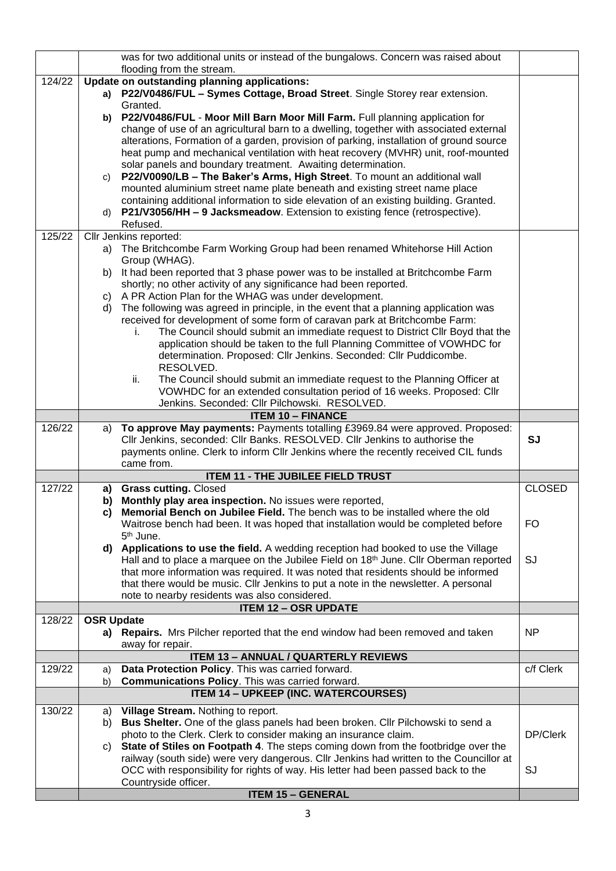|        |                   | was for two additional units or instead of the bungalows. Concern was raised about<br>flooding from the stream.                                                                   |               |
|--------|-------------------|-----------------------------------------------------------------------------------------------------------------------------------------------------------------------------------|---------------|
| 124/22 |                   | Update on outstanding planning applications:                                                                                                                                      |               |
|        |                   | a) P22/V0486/FUL - Symes Cottage, Broad Street. Single Storey rear extension.                                                                                                     |               |
|        |                   | Granted.                                                                                                                                                                          |               |
|        |                   | b) P22/V0486/FUL - Moor Mill Barn Moor Mill Farm. Full planning application for                                                                                                   |               |
|        |                   | change of use of an agricultural barn to a dwelling, together with associated external<br>alterations, Formation of a garden, provision of parking, installation of ground source |               |
|        |                   | heat pump and mechanical ventilation with heat recovery (MVHR) unit, roof-mounted                                                                                                 |               |
|        |                   | solar panels and boundary treatment. Awaiting determination.                                                                                                                      |               |
|        | C)                | P22/V0090/LB - The Baker's Arms, High Street. To mount an additional wall                                                                                                         |               |
|        |                   | mounted aluminium street name plate beneath and existing street name place                                                                                                        |               |
|        |                   | containing additional information to side elevation of an existing building. Granted.                                                                                             |               |
|        | d)                | <b>P21/V3056/HH - 9 Jacksmeadow</b> . Extension to existing fence (retrospective).                                                                                                |               |
|        |                   | Refused.                                                                                                                                                                          |               |
| 125/22 |                   | Cllr Jenkins reported:<br>The Britchcombe Farm Working Group had been renamed Whitehorse Hill Action                                                                              |               |
|        | a)                | Group (WHAG).                                                                                                                                                                     |               |
|        | b)                | It had been reported that 3 phase power was to be installed at Britchcombe Farm                                                                                                   |               |
|        |                   | shortly; no other activity of any significance had been reported.                                                                                                                 |               |
|        | C)                | A PR Action Plan for the WHAG was under development.                                                                                                                              |               |
|        | d)                | The following was agreed in principle, in the event that a planning application was                                                                                               |               |
|        |                   | received for development of some form of caravan park at Britchcombe Farm:                                                                                                        |               |
|        |                   | The Council should submit an immediate request to District Cllr Boyd that the<br>i.                                                                                               |               |
|        |                   | application should be taken to the full Planning Committee of VOWHDC for<br>determination. Proposed: Cllr Jenkins. Seconded: Cllr Puddicombe.                                     |               |
|        |                   | RESOLVED.                                                                                                                                                                         |               |
|        |                   | The Council should submit an immediate request to the Planning Officer at<br>ii.                                                                                                  |               |
|        |                   | VOWHDC for an extended consultation period of 16 weeks. Proposed: Cllr                                                                                                            |               |
|        |                   | Jenkins. Seconded: Cllr Pilchowski. RESOLVED.                                                                                                                                     |               |
|        |                   | <b>ITEM 10 - FINANCE</b>                                                                                                                                                          |               |
| 126/22 | a)                | To approve May payments: Payments totalling £3969.84 were approved. Proposed:                                                                                                     |               |
|        |                   | Cllr Jenkins, seconded: Cllr Banks. RESOLVED. Cllr Jenkins to authorise the<br>payments online. Clerk to inform Cllr Jenkins where the recently received CIL funds                | <b>SJ</b>     |
|        |                   | came from.                                                                                                                                                                        |               |
|        |                   | <b>ITEM 11 - THE JUBILEE FIELD TRUST</b>                                                                                                                                          |               |
| 127/22 | a)                | <b>Grass cutting. Closed</b>                                                                                                                                                      | <b>CLOSED</b> |
|        |                   | b) Monthly play area inspection. No issues were reported,                                                                                                                         |               |
|        | c)                | Memorial Bench on Jubilee Field. The bench was to be installed where the old                                                                                                      |               |
|        |                   | Waitrose bench had been. It was hoped that installation would be completed before                                                                                                 | <b>FO</b>     |
|        |                   | 5 <sup>th</sup> June.<br>d) Applications to use the field. A wedding reception had booked to use the Village                                                                      |               |
|        |                   | Hall and to place a marquee on the Jubilee Field on $18th$ June. Cllr Oberman reported                                                                                            | SJ            |
|        |                   | that more information was required. It was noted that residents should be informed                                                                                                |               |
|        |                   | that there would be music. Cllr Jenkins to put a note in the newsletter. A personal                                                                                               |               |
|        |                   | note to nearby residents was also considered.                                                                                                                                     |               |
|        |                   | <b>ITEM 12 - OSR UPDATE</b>                                                                                                                                                       |               |
| 128/22 | <b>OSR Update</b> |                                                                                                                                                                                   |               |
|        |                   | a) Repairs. Mrs Pilcher reported that the end window had been removed and taken<br>away for repair.                                                                               | <b>NP</b>     |
|        |                   | <b>ITEM 13 - ANNUAL / QUARTERLY REVIEWS</b>                                                                                                                                       |               |
| 129/22 | a)                | Data Protection Policy. This was carried forward.                                                                                                                                 | c/f Clerk     |
|        | b)                | Communications Policy. This was carried forward.                                                                                                                                  |               |
|        |                   | <b>ITEM 14 - UPKEEP (INC. WATERCOURSES)</b>                                                                                                                                       |               |
| 130/22 | a)                | Village Stream. Nothing to report.                                                                                                                                                |               |
|        | b)                | Bus Shelter. One of the glass panels had been broken. Cllr Pilchowski to send a                                                                                                   |               |
|        |                   | photo to the Clerk. Clerk to consider making an insurance claim.                                                                                                                  | DP/Clerk      |
|        | C)                | State of Stiles on Footpath 4. The steps coming down from the footbridge over the                                                                                                 |               |
|        |                   | railway (south side) were very dangerous. Cllr Jenkins had written to the Councillor at                                                                                           |               |
|        |                   | OCC with responsibility for rights of way. His letter had been passed back to the                                                                                                 | SJ            |
|        |                   | Countryside officer.<br><b>ITEM 15 - GENERAL</b>                                                                                                                                  |               |
|        |                   |                                                                                                                                                                                   |               |